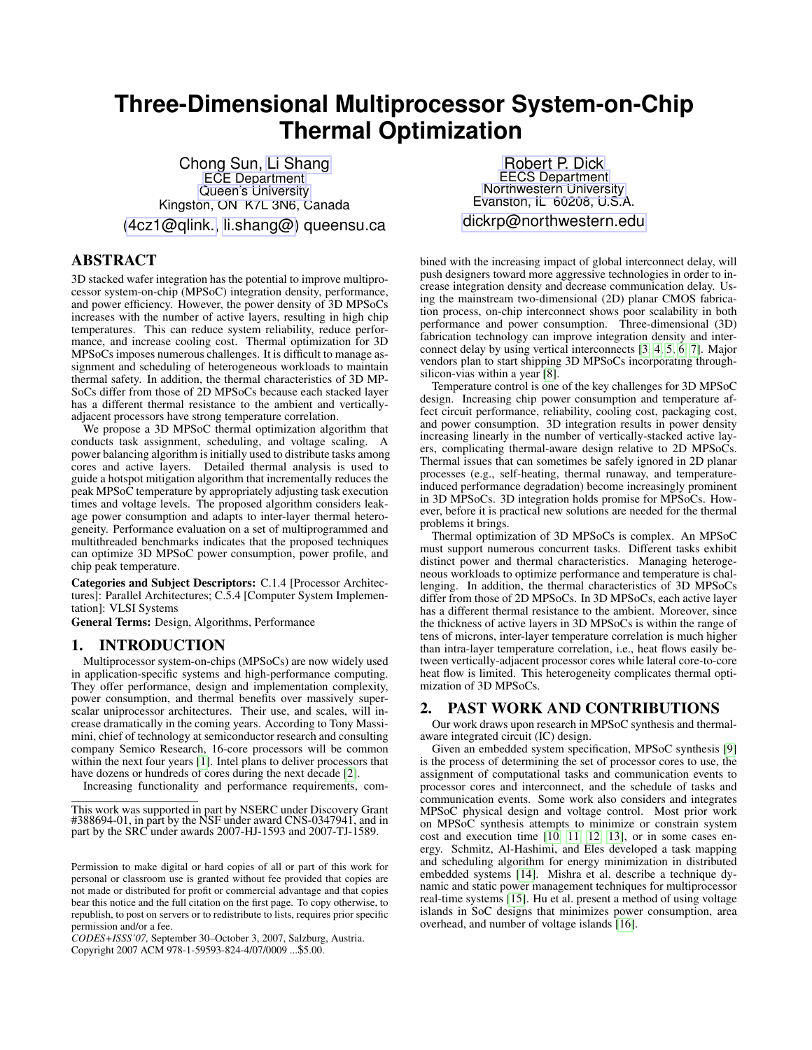# **Three-Dimensional Multiprocessor System-on-Chip Thermal Optimization**

Chong Sun, [Li Shang](http://post.queensu.ca/~shangl/) [ECE Department](http://www.ece.queensu.ca/) [Queen's University](http://www.queensu.ca/) Kingston, ON K7L 3N6, Canada [\(4cz1@qlink.,](mailto:4cz1@qlink.queensu.ca) [li.shang@\)](mailto:li.shang@queensu.ca) queensu.ca

# ABSTRACT

3D stacked wafer integration has the potential to improve multiprocessor system-on-chip (MPSoC) integration density, performance, and power efficiency. However, the power density of 3D MPSoCs increases with the number of active layers, resulting in high chip temperatures. This can reduce system reliability, reduce performance, and increase cooling cost. Thermal optimization for 3D MPSoCs imposes numerous challenges. It is difficult to manage assignment and scheduling of heterogeneous workloads to maintain thermal safety. In addition, the thermal characteristics of 3D MP-SoCs differ from those of 2D MPSoCs because each stacked layer has a different thermal resistance to the ambient and verticallyadjacent processors have strong temperature correlation.

We propose a 3D MPSoC thermal optimization algorithm that conducts task assignment, scheduling, and voltage scaling. A power balancing algorithm is initially used to distribute tasks among cores and active layers. Detailed thermal analysis is used to guide a hotspot mitigation algorithm that incrementally reduces the peak MPSoC temperature by appropriately adjusting task execution times and voltage levels. The proposed algorithm considers leakage power consumption and adapts to inter-layer thermal heterogeneity. Performance evaluation on a set of multiprogrammed and multithreaded benchmarks indicates that the proposed techniques can optimize 3D MPSoC power consumption, power profile, and chip peak temperature.

Categories and Subject Descriptors: C.1.4 [Processor Architectures]: Parallel Architectures; C.5.4 [Computer System Implementation]: VLSI Systems

General Terms: Design, Algorithms, Performance

#### 1. INTRODUCTION

Multiprocessor system-on-chips (MPSoCs) are now widely used in application-specific systems and high-performance computing. They offer performance, design and implementation complexity, power consumption, and thermal benefits over massively superscalar uniprocessor architectures. Their use, and scales, will increase dramatically in the coming years. According to Tony Massimini, chief of technology at semiconductor research and consulting company Semico Research, 16-core processors will be common within the next four years [\[1\]](#page-5-0). Intel plans to deliver processors that have dozens or hundreds of cores during the next decade [\[2\]](#page-5-1).

Increasing functionality and performance requirements, com-

[Robert P. Dick](http://robertdick.org/) [EECS Department](http://www.eecs.northwestern.edu/) [Northwestern University](http://www.northwestern.edu/) Evanston, IL 60208, U.S.A. [dickrp@northwestern.edu](mailto:dickrp@northwestern.edu)

bined with the increasing impact of global interconnect delay, will push designers toward more aggressive technologies in order to increase integration density and decrease communication delay. Using the mainstream two-dimensional (2D) planar CMOS fabrication process, on-chip interconnect shows poor scalability in both performance and power consumption. Three-dimensional (3D) fabrication technology can improve integration density and interconnect delay by using vertical interconnects [\[3,](#page-5-2) [4,](#page-5-3) [5,](#page-5-4) [6,](#page-5-5) [7\]](#page-5-6). Major vendors plan to start shipping 3D MPSoCs incorporating throughsilicon-vias within a year [\[8\]](#page-5-7).

Temperature control is one of the key challenges for 3D MPSoC design. Increasing chip power consumption and temperature affect circuit performance, reliability, cooling cost, packaging cost, and power consumption. 3D integration results in power density increasing linearly in the number of vertically-stacked active layers, complicating thermal-aware design relative to 2D MPSoCs. Thermal issues that can sometimes be safely ignored in 2D planar processes (e.g., self-heating, thermal runaway, and temperatureinduced performance degradation) become increasingly prominent in 3D MPSoCs. 3D integration holds promise for MPSoCs. However, before it is practical new solutions are needed for the thermal problems it brings.

Thermal optimization of 3D MPSoCs is complex. An MPSoC must support numerous concurrent tasks. Different tasks exhibit distinct power and thermal characteristics. Managing heterogeneous workloads to optimize performance and temperature is challenging. In addition, the thermal characteristics of 3D MPSoCs differ from those of 2D MPSoCs. In 3D MPSoCs, each active layer has a different thermal resistance to the ambient. Moreover, since the thickness of active layers in 3D MPSoCs is within the range of tens of microns, inter-layer temperature correlation is much higher than intra-layer temperature correlation, i.e., heat flows easily between vertically-adjacent processor cores while lateral core-to-core heat flow is limited. This heterogeneity complicates thermal optimization of 3D MPSoCs.

# 2. PAST WORK AND CONTRIBUTIONS

Our work draws upon research in MPSoC synthesis and thermalaware integrated circuit (IC) design.

Given an embedded system specification, MPSoC synthesis [\[9\]](#page-5-8) is the process of determining the set of processor cores to use, the assignment of computational tasks and communication events to processor cores and interconnect, and the schedule of tasks and communication events. Some work also considers and integrates MPSoC physical design and voltage control. Most prior work on MPSoC synthesis attempts to minimize or constrain system cost and execution time [\[10,](#page-5-9) [11,](#page-5-10) [12,](#page-5-11) [13\]](#page-5-12), or in some cases energy. Schmitz, Al-Hashimi, and Eles developed a task mapping and scheduling algorithm for energy minimization in distributed embedded systems [\[14\]](#page-5-13). Mishra et al. describe a technique dynamic and static power management techniques for multiprocessor real-time systems [\[15\]](#page-5-14). Hu et al. present a method of using voltage islands in SoC designs that minimizes power consumption, area overhead, and number of voltage islands [\[16\]](#page-5-15).

This work was supported in part by NSERC under Discovery Grant #388694-01, in part by the NSF under award CNS-0347941, and in part by the SRC under awards 2007-HJ-1593 and 2007-TJ-1589.

Permission to make digital or hard copies of all or part of this work for personal or classroom use is granted without fee provided that copies are not made or distributed for profit or commercial advantage and that copies bear this notice and the full citation on the first page. To copy otherwise, to republish, to post on servers or to redistribute to lists, requires prior specific permission and/or a fee.

*CODES+ISSS'07,* September 30–October 3, 2007, Salzburg, Austria. Copyright 2007 ACM 978-1-59593-824-4/07/0009 ...\$5.00.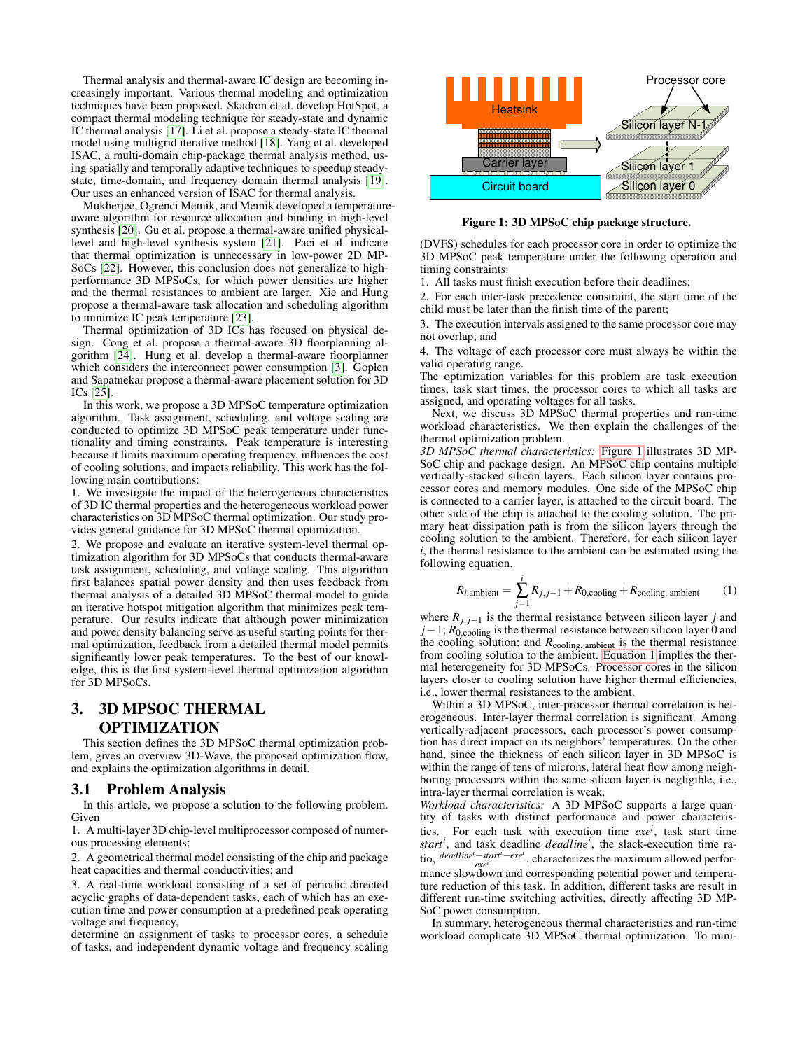Thermal analysis and thermal-aware IC design are becoming increasingly important. Various thermal modeling and optimization techniques have been proposed. Skadron et al. develop HotSpot, a compact thermal modeling technique for steady-state and dynamic IC thermal analysis [\[17\]](#page-5-16). Li et al. propose a steady-state IC thermal model using multigrid iterative method [\[18\]](#page-5-17). Yang et al. developed ISAC, a multi-domain chip-package thermal analysis method, using spatially and temporally adaptive techniques to speedup steadystate, time-domain, and frequency domain thermal analysis [\[19\]](#page-5-18). Our uses an enhanced version of ISAC for thermal analysis.

Mukherjee, Ogrenci Memik, and Memik developed a temperatureaware algorithm for resource allocation and binding in high-level synthesis [\[20\]](#page-5-19). Gu et al. propose a thermal-aware unified physicallevel and high-level synthesis system [\[21\]](#page-5-20). Paci et al. indicate that thermal optimization is unnecessary in low-power 2D MP-SoCs [\[22\]](#page-5-21). However, this conclusion does not generalize to highperformance 3D MPSoCs, for which power densities are higher and the thermal resistances to ambient are larger. Xie and Hung propose a thermal-aware task allocation and scheduling algorithm to minimize IC peak temperature [\[23\]](#page-5-22).

Thermal optimization of 3D ICs has focused on physical design. Cong et al. propose a thermal-aware 3D floorplanning algorithm [\[24\]](#page-5-23). Hung et al. develop a thermal-aware floorplanner which considers the interconnect power consumption [\[3\]](#page-5-2). Goplen and Sapatnekar propose a thermal-aware placement solution for 3D ICs [\[25\]](#page-5-24).

In this work, we propose a 3D MPSoC temperature optimization algorithm. Task assignment, scheduling, and voltage scaling are conducted to optimize 3D MPSoC peak temperature under functionality and timing constraints. Peak temperature is interesting because it limits maximum operating frequency, influences the cost of cooling solutions, and impacts reliability. This work has the following main contributions:

1. We investigate the impact of the heterogeneous characteristics of 3D IC thermal properties and the heterogeneous workload power characteristics on 3D MPSoC thermal optimization. Our study provides general guidance for 3D MPSoC thermal optimization.

2. We propose and evaluate an iterative system-level thermal optimization algorithm for 3D MPSoCs that conducts thermal-aware task assignment, scheduling, and voltage scaling. This algorithm first balances spatial power density and then uses feedback from thermal analysis of a detailed 3D MPSoC thermal model to guide an iterative hotspot mitigation algorithm that minimizes peak temperature. Our results indicate that although power minimization and power density balancing serve as useful starting points for thermal optimization, feedback from a detailed thermal model permits significantly lower peak temperatures. To the best of our knowledge, this is the first system-level thermal optimization algorithm for 3D MPSoCs.

# 3. 3D MPSOC THERMAL OPTIMIZATION

This section defines the 3D MPSoC thermal optimization problem, gives an overview 3D-Wave, the proposed optimization flow, and explains the optimization algorithms in detail.

#### 3.1 Problem Analysis

In this article, we propose a solution to the following problem. Given

1. A multi-layer 3D chip-level multiprocessor composed of numerous processing elements;

2. A geometrical thermal model consisting of the chip and package heat capacities and thermal conductivities; and

3. A real-time workload consisting of a set of periodic directed acyclic graphs of data-dependent tasks, each of which has an execution time and power consumption at a predefined peak operating voltage and frequency,

determine an assignment of tasks to processor cores, a schedule of tasks, and independent dynamic voltage and frequency scaling



<span id="page-1-0"></span>Figure 1: 3D MPSoC chip package structure.

(DVFS) schedules for each processor core in order to optimize the 3D MPSoC peak temperature under the following operation and timing constraints:

1. All tasks must finish execution before their deadlines;

2. For each inter-task precedence constraint, the start time of the child must be later than the finish time of the parent;

3. The execution intervals assigned to the same processor core may not overlap; and

4. The voltage of each processor core must always be within the valid operating range.

The optimization variables for this problem are task execution times, task start times, the processor cores to which all tasks are assigned, and operating voltages for all tasks.

Next, we discuss 3D MPSoC thermal properties and run-time workload characteristics. We then explain the challenges of the thermal optimization problem.

*3D MPSoC thermal characteristics:* [Figure 1](#page-1-0) illustrates 3D MP-SoC chip and package design. An MPSoC chip contains multiple vertically-stacked silicon layers. Each silicon layer contains processor cores and memory modules. One side of the MPSoC chip is connected to a carrier layer, is attached to the circuit board. The other side of the chip is attached to the cooling solution. The primary heat dissipation path is from the silicon layers through the cooling solution to the ambient. Therefore, for each silicon layer *i*, the thermal resistance to the ambient can be estimated using the following equation.

<span id="page-1-1"></span>
$$
R_{i,\text{ambient}} = \sum_{j=1}^{i} R_{j,j-1} + R_{0,\text{cooling}} + R_{\text{cooling, ambient}} \tag{1}
$$

where  $R_{j, j-1}$  is the thermal resistance between silicon layer *j* and  $j-1$ ;  $R_{0,\text{cooling}}$  is the thermal resistance between silicon layer 0 and the cooling solution; and *R*cooling, ambient is the thermal resistance from cooling solution to the ambient. [Equation 1](#page-1-1) implies the thermal heterogeneity for 3D MPSoCs. Processor cores in the silicon layers closer to cooling solution have higher thermal efficiencies, i.e., lower thermal resistances to the ambient.

Within a 3D MPSoC, inter-processor thermal correlation is heterogeneous. Inter-layer thermal correlation is significant. Among vertically-adjacent processors, each processor's power consumption has direct impact on its neighbors' temperatures. On the other hand, since the thickness of each silicon layer in 3D MPSoC is within the range of tens of microns, lateral heat flow among neighboring processors within the same silicon layer is negligible, i.e., intra-layer thermal correlation is weak.

*Workload characteristics:* A 3D MPSoC supports a large quantity of tasks with distinct performance and power characteristics. For each task with execution time  $exe<sup>i</sup>$ , task start time *start<sup>i</sup>* , and task deadline *deadline<sup>i</sup>* , the slack-execution time ratio, *deadlinei*−*starti*−*exe<sup>i</sup> exe<sup>i</sup>* , characterizes the maximum allowed performance slowdown and corresponding potential power and temperature reduction of this task. In addition, different tasks are result in different run-time switching activities, directly affecting 3D MP-SoC power consumption.

In summary, heterogeneous thermal characteristics and run-time workload complicate 3D MPSoC thermal optimization. To mini-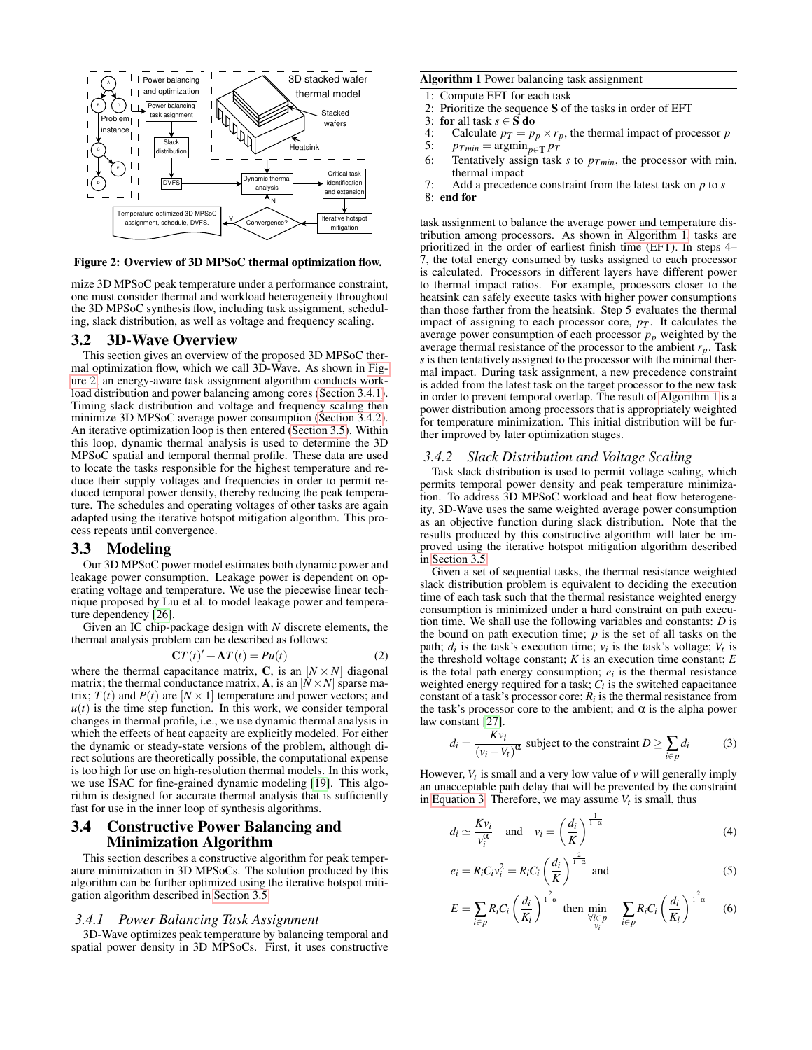

#### <span id="page-2-0"></span>Figure 2: Overview of 3D MPSoC thermal optimization flow.

mize 3D MPSoC peak temperature under a performance constraint, one must consider thermal and workload heterogeneity throughout the 3D MPSoC synthesis flow, including task assignment, scheduling, slack distribution, as well as voltage and frequency scaling.

## 3.2 3D-Wave Overview

This section gives an overview of the proposed 3D MPSoC thermal optimization flow, which we call 3D-Wave. As shown in [Fig](#page-2-0)[ure 2,](#page-2-0) an energy-aware task assignment algorithm conducts workload distribution and power balancing among cores [\(Section 3.4.1\)](#page-2-1). Timing slack distribution and voltage and frequency scaling then minimize 3D MPSoC average power consumption [\(Section 3.4.2\)](#page-2-2). An iterative optimization loop is then entered [\(Section 3.5\)](#page-3-0). Within this loop, dynamic thermal analysis is used to determine the 3D MPSoC spatial and temporal thermal profile. These data are used to locate the tasks responsible for the highest temperature and reduce their supply voltages and frequencies in order to permit reduced temporal power density, thereby reducing the peak temperature. The schedules and operating voltages of other tasks are again adapted using the iterative hotspot mitigation algorithm. This process repeats until convergence.

#### 3.3 Modeling

Our 3D MPSoC power model estimates both dynamic power and leakage power consumption. Leakage power is dependent on operating voltage and temperature. We use the piecewise linear technique proposed by Liu et al. to model leakage power and temperature dependency [\[26\]](#page-5-25).

Given an IC chip-package design with *N* discrete elements, the thermal analysis problem can be described as follows:

$$
\mathbf{C}T(t)' + \mathbf{A}T(t) = Pu(t)
$$
 (2)

where the thermal capacitance matrix, C, is an  $[N \times N]$  diagonal matrix; the thermal conductance matrix, **A**, is an  $[N \times N]$  sparse matrix;  $T(t)$  and  $P(t)$  are  $[N \times 1]$  temperature and power vectors; and  $u(t)$  is the time step function. In this work, we consider temporal changes in thermal profile, i.e., we use dynamic thermal analysis in which the effects of heat capacity are explicitly modeled. For either the dynamic or steady-state versions of the problem, although direct solutions are theoretically possible, the computational expense is too high for use on high-resolution thermal models. In this work, we use ISAC for fine-grained dynamic modeling [\[19\]](#page-5-18). This algorithm is designed for accurate thermal analysis that is sufficiently fast for use in the inner loop of synthesis algorithms.

# 3.4 Constructive Power Balancing and Minimization Algorithm

This section describes a constructive algorithm for peak temperature minimization in 3D MPSoCs. The solution produced by this algorithm can be further optimized using the iterative hotspot mitigation algorithm described in [Section 3.5.](#page-3-0)

#### <span id="page-2-1"></span>*3.4.1 Power Balancing Task Assignment*

3D-Wave optimizes peak temperature by balancing temporal and spatial power density in 3D MPSoCs. First, it uses constructive

#### <span id="page-2-3"></span>Algorithm 1 Power balancing task assignment

- 1: Compute EFT for each task
- 2: Prioritize the sequence **S** of the tasks in order of EFT 3: for all task  $s \in S$  do
- 3: **for** all task  $s \in S$  **do**<br>4: Calculate  $p_T = p$
- 4: Calculate  $p_T = p_p \times r_p$ , the thermal impact of processor *p*<br>5:  $p_{Tmin} = \argmin_{p \in T} p_T$ 5:  $p_{Tmin} = \operatorname{argmin}_{p \in \mathbf{T}} p_T$ <br>6: Tentatively assign task
- Tentatively assign task  $s$  to  $p_{T min}$ , the processor with min. thermal impact
- 7: Add a precedence constraint from the latest task on *p* to *s*

8: end for

task assignment to balance the average power and temperature distribution among processors. As shown in [Algorithm 1,](#page-2-3) tasks are prioritized in the order of earliest finish time (EFT). In steps 4– 7, the total energy consumed by tasks assigned to each processor is calculated. Processors in different layers have different power to thermal impact ratios. For example, processors closer to the heatsink can safely execute tasks with higher power consumptions than those farther from the heatsink. Step 5 evaluates the thermal impact of assigning to each processor core,  $p_T$ . It calculates the average power consumption of each processor  $p_p$  weighted by the average thermal resistance of the processor to the ambient *rp*. Task *s* is then tentatively assigned to the processor with the minimal thermal impact. During task assignment, a new precedence constraint is added from the latest task on the target processor to the new task in order to prevent temporal overlap. The result of [Algorithm 1](#page-2-3) is a power distribution among processors that is appropriately weighted for temperature minimization. This initial distribution will be further improved by later optimization stages.

#### <span id="page-2-2"></span>*3.4.2 Slack Distribution and Voltage Scaling*

Task slack distribution is used to permit voltage scaling, which permits temporal power density and peak temperature minimization. To address 3D MPSoC workload and heat flow heterogeneity, 3D-Wave uses the same weighted average power consumption as an objective function during slack distribution. Note that the results produced by this constructive algorithm will later be improved using the iterative hotspot mitigation algorithm described in [Section 3.5.](#page-3-0)

Given a set of sequential tasks, the thermal resistance weighted slack distribution problem is equivalent to deciding the execution time of each task such that the thermal resistance weighted energy consumption is minimized under a hard constraint on path execution time. We shall use the following variables and constants: *D* is the bound on path execution time; *p* is the set of all tasks on the path;  $d_i$  is the task's execution time;  $v_i$  is the task's voltage;  $V_t$  is the threshold voltage constant; *K* is an execution time constant; *E* is the total path energy consumption;  $e_i$  is the thermal resistance weighted energy required for a task;  $C_i$  is the switched capacitance constant of a task's processor core;  $R_i$  is the thermal resistance from the task's processor core to the ambient; and  $\alpha$  is the alpha power law constant [\[27\]](#page-5-26).

<span id="page-2-4"></span>
$$
d_i = \frac{Kv_i}{(v_i - V_t)^{\alpha}}
$$
 subject to the constraint  $D \ge \sum_{i \in p} d_i$  (3)

However,  $V_t$  is small and a very low value of  $v$  will generally imply an unacceptable path delay that will be prevented by the constraint in [Equation 3.](#page-2-4) Therefore, we may assume  $V_t$  is small, thus

$$
d_i \simeq \frac{K v_i}{v_i^{\alpha}} \quad \text{and} \quad v_i = \left(\frac{d_i}{K}\right)^{\frac{1}{1-\alpha}} \tag{4}
$$

$$
e_i = R_i C_i v_i^2 = R_i C_i \left(\frac{d_i}{K}\right)^{\frac{2}{1-\alpha}} \text{ and } (5)
$$

$$
E = \sum_{i \in p} R_i C_i \left(\frac{d_i}{K_i}\right)^{\frac{2}{1-\alpha}} \text{ then } \min_{\substack{\forall i \in p \\ v_i}} \sum_{i \in p} R_i C_i \left(\frac{d_i}{K_i}\right)^{\frac{2}{1-\alpha}} \quad (6)
$$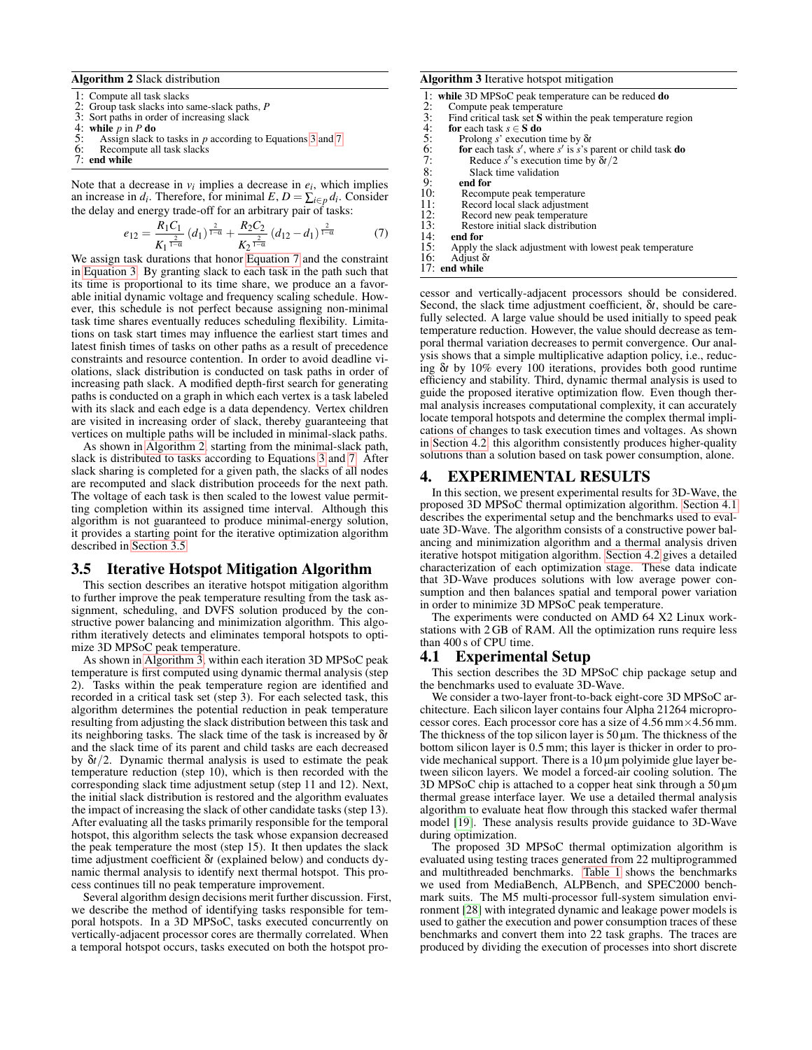<span id="page-3-2"></span>Algorithm 2 Slack distribution

- $\overline{1:}$  Compute all task slacks<br>2: Group task slacks into s
- 2: Group task slacks into same-slack paths, *P*
- 3: Sort paths in order of increasing slack<br>4: while  $p$  in  $P$  do
- 4: while  $p$  in  $P$  do<br>5: Assign slack t
- 5: Assign slack to tasks in *p* according to Equations [3](#page-2-4) and [7](#page-3-1)<br>6: Recompute all task slacks
- Recompute all task slacks
- 7: end while

Note that a decrease in  $v_i$  implies a decrease in  $e_i$ , which implies an increase in  $d_i$ . Therefore, for minimal  $E$ ,  $D = \sum_{i \in p} d_i$ . Consider the delay and energy trade-off for an arbitrary pair of tasks:

<span id="page-3-1"></span>
$$
e_{12} = \frac{R_1 C_1}{K_1^{\frac{2}{1-\alpha}}} (d_1)^{\frac{2}{1-\alpha}} + \frac{R_2 C_2}{K_2^{\frac{2}{1-\alpha}}} (d_{12} - d_1)^{\frac{2}{1-\alpha}} \tag{7}
$$

We assign task durations that honor [Equation 7](#page-3-1) and the constraint in [Equation 3.](#page-2-4) By granting slack to each task in the path such that its time is proportional to its time share, we produce an a favorable initial dynamic voltage and frequency scaling schedule. However, this schedule is not perfect because assigning non-minimal task time shares eventually reduces scheduling flexibility. Limitations on task start times may influence the earliest start times and latest finish times of tasks on other paths as a result of precedence constraints and resource contention. In order to avoid deadline violations, slack distribution is conducted on task paths in order of increasing path slack. A modified depth-first search for generating paths is conducted on a graph in which each vertex is a task labeled with its slack and each edge is a data dependency. Vertex children are visited in increasing order of slack, thereby guaranteeing that vertices on multiple paths will be included in minimal-slack paths.

As shown in [Algorithm 2,](#page-3-2) starting from the minimal-slack path, slack is distributed to tasks according to Equations [3](#page-2-4) and [7.](#page-3-1) After slack sharing is completed for a given path, the slacks of all nodes are recomputed and slack distribution proceeds for the next path. The voltage of each task is then scaled to the lowest value permitting completion within its assigned time interval. Although this algorithm is not guaranteed to produce minimal-energy solution, it provides a starting point for the iterative optimization algorithm described in [Section 3.5.](#page-3-0)

#### <span id="page-3-0"></span>3.5 Iterative Hotspot Mitigation Algorithm

This section describes an iterative hotspot mitigation algorithm to further improve the peak temperature resulting from the task assignment, scheduling, and DVFS solution produced by the constructive power balancing and minimization algorithm. This algorithm iteratively detects and eliminates temporal hotspots to optimize 3D MPSoC peak temperature.

As shown in [Algorithm 3,](#page-3-3) within each iteration 3D MPSoC peak temperature is first computed using dynamic thermal analysis (step 2). Tasks within the peak temperature region are identified and recorded in a critical task set (step 3). For each selected task, this algorithm determines the potential reduction in peak temperature resulting from adjusting the slack distribution between this task and its neighboring tasks. The slack time of the task is increased by δ*t* and the slack time of its parent and child tasks are each decreased by δ*t*/2. Dynamic thermal analysis is used to estimate the peak temperature reduction (step 10), which is then recorded with the corresponding slack time adjustment setup (step 11 and 12). Next, the initial slack distribution is restored and the algorithm evaluates the impact of increasing the slack of other candidate tasks (step 13). After evaluating all the tasks primarily responsible for the temporal hotspot, this algorithm selects the task whose expansion decreased the peak temperature the most (step 15). It then updates the slack time adjustment coefficient δ*t* (explained below) and conducts dynamic thermal analysis to identify next thermal hotspot. This process continues till no peak temperature improvement.

Several algorithm design decisions merit further discussion. First, we describe the method of identifying tasks responsible for temporal hotspots. In a 3D MPSoC, tasks executed concurrently on vertically-adjacent processor cores are thermally correlated. When a temporal hotspot occurs, tasks executed on both the hotspot pro-

#### <span id="page-3-3"></span>Algorithm 3 Iterative hotspot mitigation

1: while 3D MPSoC peak temperature can be reduced do

| 2: |                                 |  |
|----|---------------------------------|--|
|    | Compute peak temperature        |  |
| ٦. | Find critical task set S within |  |

- 3: Find critical task set S within the peak temperature region 4: for each task  $s \in S$  do 5: Prolong s' execution time by  $\delta t$ for each task  $s \in S$  do
- 
- 5: Prolong *s*' execution time by  $\delta t$ <br>6: **for** each task *s'*, where *s'* is *s*'s p<br>7: Reduce *s'* s execution time by 6: **for** each task  $s'$ , where  $s'$  is  $s'$  parent or child task **do**
- 7: Reduce *s* ′ 's execution time by δ*t*/2

end for

- 8: Slack time validation<br>9: **end for**<br>10: Recompute peak tempe
- 10: Recompute peak temperature<br>
11: Record local slack adjustment<br>
12: Record new peak temperature Record local slack adjustment
- 12: Record new peak temperature<br>13: Restore initial slack distribution
- 13: Restore initial slack distribution<br>14: **end for**<br>15: Apply the slack adjustment with lo end for

- 15: Apply the slack adjustment with lowest peak temperature 16: Adjust  $\delta t$ 16: Adjust δ*t*
- 17: end while

cessor and vertically-adjacent processors should be considered. Second, the slack time adjustment coefficient, δ*t*, should be carefully selected. A large value should be used initially to speed peak temperature reduction. However, the value should decrease as temporal thermal variation decreases to permit convergence. Our analysis shows that a simple multiplicative adaption policy, i.e., reducing δ*t* by 10% every 100 iterations, provides both good runtime efficiency and stability. Third, dynamic thermal analysis is used to guide the proposed iterative optimization flow. Even though thermal analysis increases computational complexity, it can accurately locate temporal hotspots and determine the complex thermal implications of changes to task execution times and voltages. As shown in [Section 4.2,](#page-4-0) this algorithm consistently produces higher-quality solutions than a solution based on task power consumption, alone.

## <span id="page-3-5"></span>4. EXPERIMENTAL RESULTS

In this section, we present experimental results for 3D-Wave, the proposed 3D MPSoC thermal optimization algorithm. [Section 4.1](#page-3-4) describes the experimental setup and the benchmarks used to evaluate 3D-Wave. The algorithm consists of a constructive power balancing and minimization algorithm and a thermal analysis driven iterative hotspot mitigation algorithm. [Section 4.2](#page-4-0) gives a detailed characterization of each optimization stage. These data indicate that 3D-Wave produces solutions with low average power consumption and then balances spatial and temporal power variation in order to minimize 3D MPSoC peak temperature.

The experiments were conducted on AMD 64 X2 Linux workstations with 2 GB of RAM. All the optimization runs require less than 400 s of CPU time.

#### <span id="page-3-4"></span>4.1 Experimental Setup

This section describes the 3D MPSoC chip package setup and the benchmarks used to evaluate 3D-Wave.

We consider a two-layer front-to-back eight-core 3D MPSoC architecture. Each silicon layer contains four Alpha 21264 microprocessor cores. Each processor core has a size of 4.56 mm×4.56 mm. The thickness of the top silicon layer is  $50 \mu m$ . The thickness of the bottom silicon layer is 0.5 mm; this layer is thicker in order to provide mechanical support. There is a  $10 \mu m$  polyimide glue layer between silicon layers. We model a forced-air cooling solution. The 3D MPSoC chip is attached to a copper heat sink through a 50 µm thermal grease interface layer. We use a detailed thermal analysis algorithm to evaluate heat flow through this stacked wafer thermal model [\[19\]](#page-5-18). These analysis results provide guidance to 3D-Wave during optimization.

The proposed 3D MPSoC thermal optimization algorithm is evaluated using testing traces generated from 22 multiprogrammed and multithreaded benchmarks. [Table 1](#page-4-1) shows the benchmarks we used from MediaBench, ALPBench, and SPEC2000 benchmark suits. The M5 multi-processor full-system simulation environment [\[28\]](#page-5-27) with integrated dynamic and leakage power models is used to gather the execution and power consumption traces of these benchmarks and convert them into 22 task graphs. The traces are produced by dividing the execution of processes into short discrete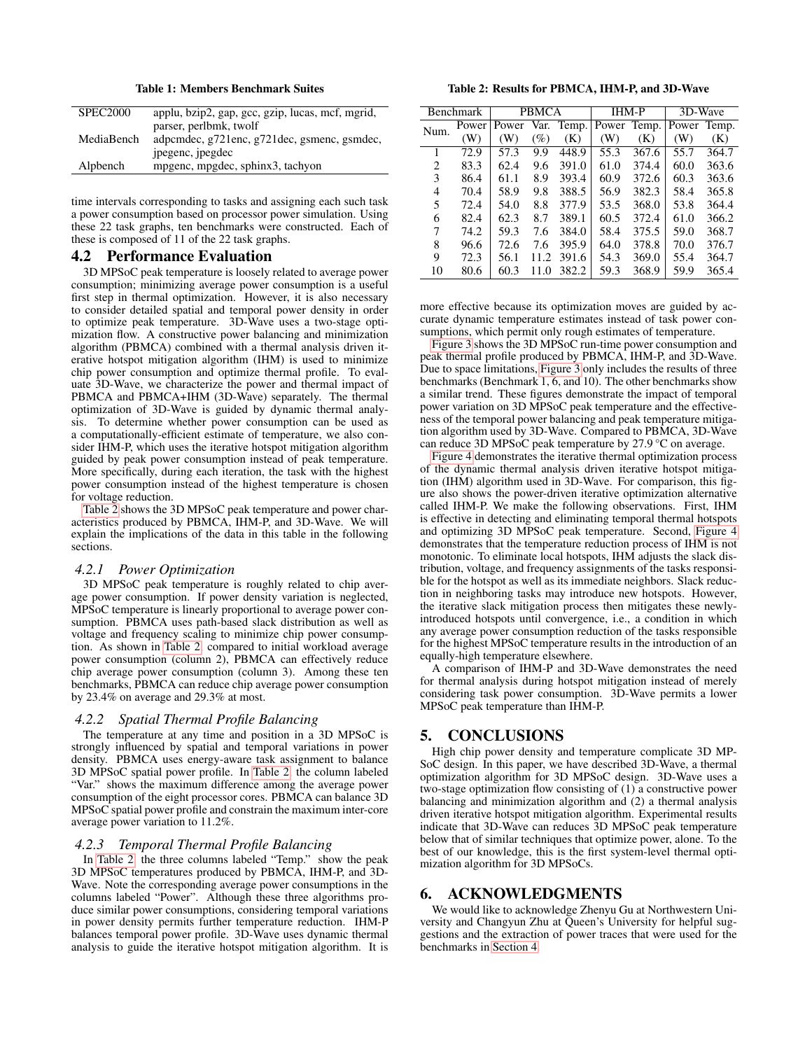<span id="page-4-1"></span>Table 1: Members Benchmark Suites

| <b>SPEC2000</b> | applu, bzip2, gap, gcc, gzip, lucas, mcf, mgrid, |
|-----------------|--------------------------------------------------|
|                 | parser, perlbmk, twolf                           |
| MediaBench      | adpcmdec, g721enc, g721dec, gsmenc, gsmdec,      |
|                 | ipegenc, ipegdec                                 |
| Alpbench        | mpgenc, mpgdec, sphinx3, tachyon                 |

time intervals corresponding to tasks and assigning each such task a power consumption based on processor power simulation. Using these 22 task graphs, ten benchmarks were constructed. Each of these is composed of 11 of the 22 task graphs.

#### <span id="page-4-0"></span>4.2 Performance Evaluation

3D MPSoC peak temperature is loosely related to average power consumption; minimizing average power consumption is a useful first step in thermal optimization. However, it is also necessary to consider detailed spatial and temporal power density in order to optimize peak temperature. 3D-Wave uses a two-stage optimization flow. A constructive power balancing and minimization algorithm (PBMCA) combined with a thermal analysis driven iterative hotspot mitigation algorithm (IHM) is used to minimize chip power consumption and optimize thermal profile. To evaluate 3D-Wave, we characterize the power and thermal impact of PBMCA and PBMCA+IHM (3D-Wave) separately. The thermal optimization of 3D-Wave is guided by dynamic thermal analysis. To determine whether power consumption can be used as a computationally-efficient estimate of temperature, we also consider IHM-P, which uses the iterative hotspot mitigation algorithm guided by peak power consumption instead of peak temperature. More specifically, during each iteration, the task with the highest power consumption instead of the highest temperature is chosen for voltage reduction.

[Table 2](#page-4-2) shows the 3D MPSoC peak temperature and power characteristics produced by PBMCA, IHM-P, and 3D-Wave. We will explain the implications of the data in this table in the following sections.

#### *4.2.1 Power Optimization*

3D MPSoC peak temperature is roughly related to chip average power consumption. If power density variation is neglected, MPSoC temperature is linearly proportional to average power consumption. PBMCA uses path-based slack distribution as well as voltage and frequency scaling to minimize chip power consumption. As shown in [Table 2,](#page-4-2) compared to initial workload average power consumption (column 2), PBMCA can effectively reduce chip average power consumption (column 3). Among these ten benchmarks, PBMCA can reduce chip average power consumption by 23.4% on average and 29.3% at most.

#### *4.2.2 Spatial Thermal Profile Balancing*

The temperature at any time and position in a 3D MPSoC is strongly influenced by spatial and temporal variations in power density. PBMCA uses energy-aware task assignment to balance 3D MPSoC spatial power profile. In [Table 2,](#page-4-2) the column labeled "Var." shows the maximum difference among the average power consumption of the eight processor cores. PBMCA can balance 3D MPSoC spatial power profile and constrain the maximum inter-core average power variation to 11.2%.

#### *4.2.3 Temporal Thermal Profile Balancing*

In [Table 2,](#page-4-2) the three columns labeled "Temp." show the peak 3D MPSoC temperatures produced by PBMCA, IHM-P, and 3D-Wave. Note the corresponding average power consumptions in the columns labeled "Power". Although these three algorithms produce similar power consumptions, considering temporal variations in power density permits further temperature reduction. IHM-P balances temporal power profile. 3D-Wave uses dynamic thermal analysis to guide the iterative hotspot mitigation algorithm. It is

<span id="page-4-2"></span>Table 2: Results for PBMCA, IHM-P, and 3D-Wave

| <b>Benchmark</b> |       | PBMCA |      | <b>IHM-P</b> |             | 3D-Wave |             |       |
|------------------|-------|-------|------|--------------|-------------|---------|-------------|-------|
| Num.             | Power | Power |      | Var. Temp.   | Power Temp. |         | Power Temp. |       |
|                  | (W)   | (W)   | (%)  | (K)          | (W)         | (K)     | (W)         | (K)   |
| 1                | 72.9  | 57.3  | 9.9  | 448.9        | 55.3        | 367.6   | 55.7        | 364.7 |
| 2                | 83.3  | 62.4  | 9.6  | 391.0        | 61.0        | 374.4   | 60.0        | 363.6 |
| 3                | 86.4  | 61.1  | 8.9  | 393.4        | 60.9        | 372.6   | 60.3        | 363.6 |
| 4                | 70.4  | 58.9  | 9.8  | 388.5        | 56.9        | 382.3   | 58.4        | 365.8 |
| 5                | 72.4  | 54.0  | 8.8  | 377.9        | 53.5        | 368.0   | 53.8        | 364.4 |
| 6                | 82.4  | 62.3  | 8.7  | 389.1        | 60.5        | 372.4   | 61.0        | 366.2 |
| 7                | 74.2  | 59.3  | 7.6  | 384.0        | 58.4        | 375.5   | 59.0        | 368.7 |
| 8                | 96.6  | 72.6  | 7.6  | 395.9        | 64.0        | 378.8   | 70.0        | 376.7 |
| 9                | 72.3  | 56.1  | 11.2 | 391.6        | 54.3        | 369.0   | 55.4        | 364.7 |
| 10               | 80.6  | 60.3  | 11.0 | 382.2        | 59.3        | 368.9   | 59.9        | 365.4 |

more effective because its optimization moves are guided by accurate dynamic temperature estimates instead of task power consumptions, which permit only rough estimates of temperature.

[Figure 3](#page-5-28) shows the 3D MPSoC run-time power consumption and peak thermal profile produced by PBMCA, IHM-P, and 3D-Wave. Due to space limitations, [Figure 3](#page-5-28) only includes the results of three benchmarks (Benchmark 1, 6, and 10). The other benchmarks show a similar trend. These figures demonstrate the impact of temporal power variation on 3D MPSoC peak temperature and the effectiveness of the temporal power balancing and peak temperature mitigation algorithm used by 3D-Wave. Compared to PBMCA, 3D-Wave can reduce 3D MPSoC peak temperature by 27.9 °C on average.

[Figure 4](#page-5-29) demonstrates the iterative thermal optimization process of the dynamic thermal analysis driven iterative hotspot mitigation (IHM) algorithm used in 3D-Wave. For comparison, this figure also shows the power-driven iterative optimization alternative called IHM-P. We make the following observations. First, IHM is effective in detecting and eliminating temporal thermal hotspots and optimizing 3D MPSoC peak temperature. Second, [Figure 4](#page-5-29) demonstrates that the temperature reduction process of IHM is not monotonic. To eliminate local hotspots, IHM adjusts the slack distribution, voltage, and frequency assignments of the tasks responsible for the hotspot as well as its immediate neighbors. Slack reduction in neighboring tasks may introduce new hotspots. However, the iterative slack mitigation process then mitigates these newlyintroduced hotspots until convergence, i.e., a condition in which any average power consumption reduction of the tasks responsible for the highest MPSoC temperature results in the introduction of an equally-high temperature elsewhere.

A comparison of IHM-P and 3D-Wave demonstrates the need for thermal analysis during hotspot mitigation instead of merely considering task power consumption. 3D-Wave permits a lower MPSoC peak temperature than IHM-P.

## 5. CONCLUSIONS

High chip power density and temperature complicate 3D MP-SoC design. In this paper, we have described 3D-Wave, a thermal optimization algorithm for 3D MPSoC design. 3D-Wave uses a two-stage optimization flow consisting of (1) a constructive power balancing and minimization algorithm and (2) a thermal analysis driven iterative hotspot mitigation algorithm. Experimental results indicate that 3D-Wave can reduces 3D MPSoC peak temperature below that of similar techniques that optimize power, alone. To the best of our knowledge, this is the first system-level thermal optimization algorithm for 3D MPSoCs.

# 6. ACKNOWLEDGMENTS

We would like to acknowledge Zhenyu Gu at Northwestern University and Changyun Zhu at Queen's University for helpful suggestions and the extraction of power traces that were used for the benchmarks in [Section 4.](#page-3-5)